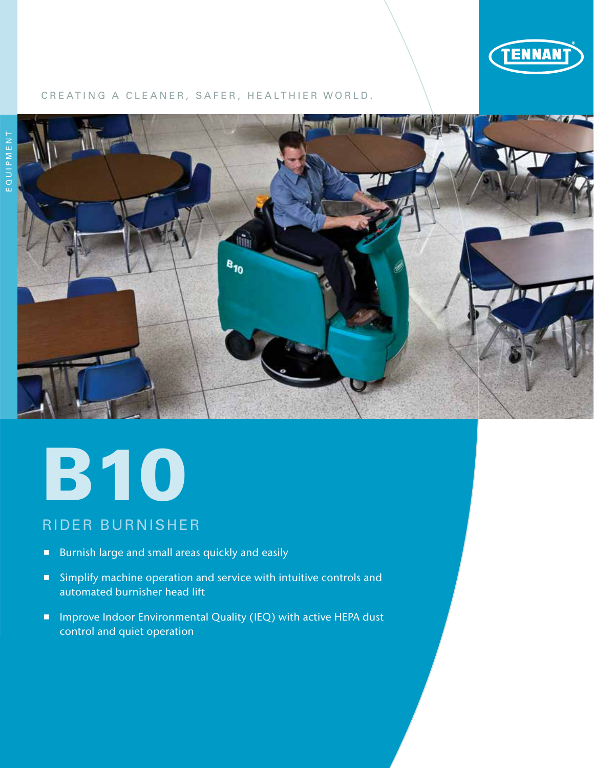

### CREATING A CLEANER, SAFER, HEALTHIER WORLD.



# **B10**

## RIDER BURNISHER

- **Burnish large and small areas quickly and easily**
- **Simplify machine operation and service with intuitive controls and** automated burnisher head lift
- Improve Indoor Environmental Quality (IEQ) with active HEPA dust control and quiet operation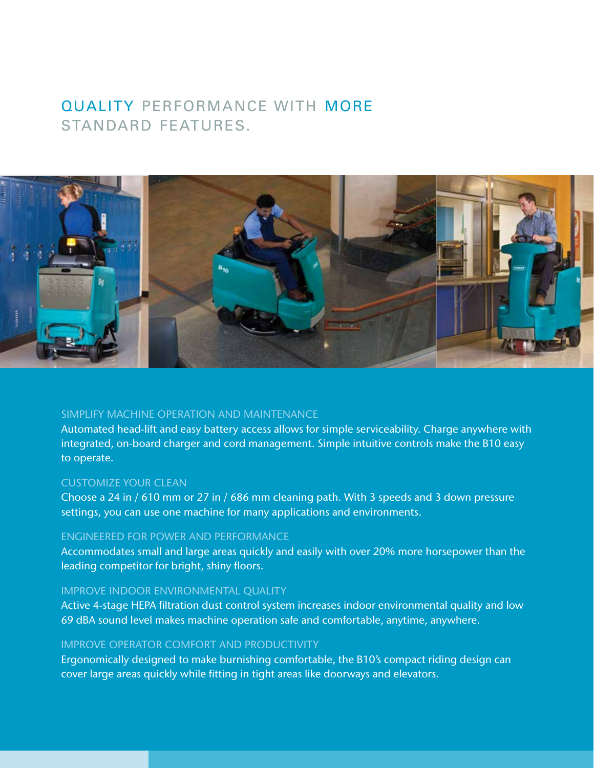# QUALITY PERFORMANCE WITH MORE STANDARD FEATURES.



### SIMPLIFY MACHINE OPERATION AND MAINTENANCE

Automated head-lift and easy battery access allows for simple serviceability. Charge anywhere with integrated, on-board charger and cord management. Simple intuitive controls make the B10 easy to operate.

### CUSTOMIZE YOUR CLEAN

Choose a 24 in / 610 mm or 27 in / 686 mm cleaning path. With 3 speeds and 3 down pressure settings, you can use one machine for many applications and environments.

### ENGINEERED FOR POWER AND PERFORMANCE

Accommodates small and large areas quickly and easily with over 20% more horsepower than the leading competitor for bright, shiny floors.

### IMPROVE INDOOR ENVIRONMENTAL QUALITY

Active 4-stage HEPA filtration dust control system increases indoor environmental quality and low 69 dBA sound level makes machine operation safe and comfortable, anytime, anywhere.

### IMPROVE OPERATOR COMFORT AND PRODUCTIVITY

Ergonomically designed to make burnishing comfortable, the B10's compact riding design can cover large areas quickly while fitting in tight areas like doorways and elevators.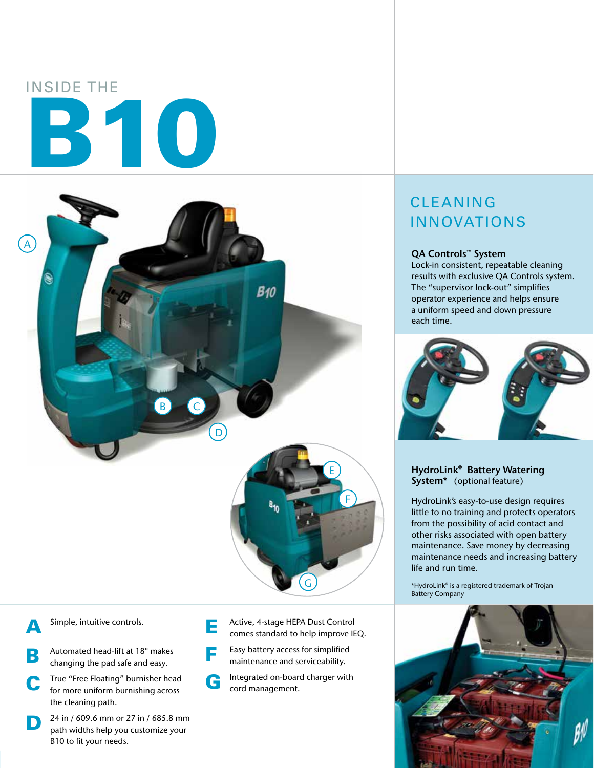# INSIDE THE B10



Simple, intuitive controls.

- **B** Automated head-lift at 18° makes changing the pad safe and easy.
- C True "Free Floating" burnisher head for more uniform burnishing across the cleaning path.
- **D** 24 in / 609.6 mm or 27 in / 685.8 mm<br>path widths help you customize your B10 to fit your needs.
- **E** Active, 4-stage HEPA Dust Control<br>
comes standard to help improve IEQ.
- **F** Easy battery access for simplified maintenance and serviceability.
- G Integrated on-board charger with cord management.

# CLEANING INNOVATIONS

### QA Controls™ System

Lock-in consistent, repeatable cleaning results with exclusive QA Controls system. The "supervisor lock-out" simplifies operator experience and helps ensure a uniform speed and down pressure each time.



### HydroLink<sup>®</sup> Battery Watering System<sup>\*</sup> (optional feature)

HydroLink's easy-to-use design requires little to no training and protects operators from the possibility of acid contact and other risks associated with open battery maintenance. Save money by decreasing maintenance needs and increasing battery life and run time.

\*HydroLink® is a registered trademark of Trojan Battery Company